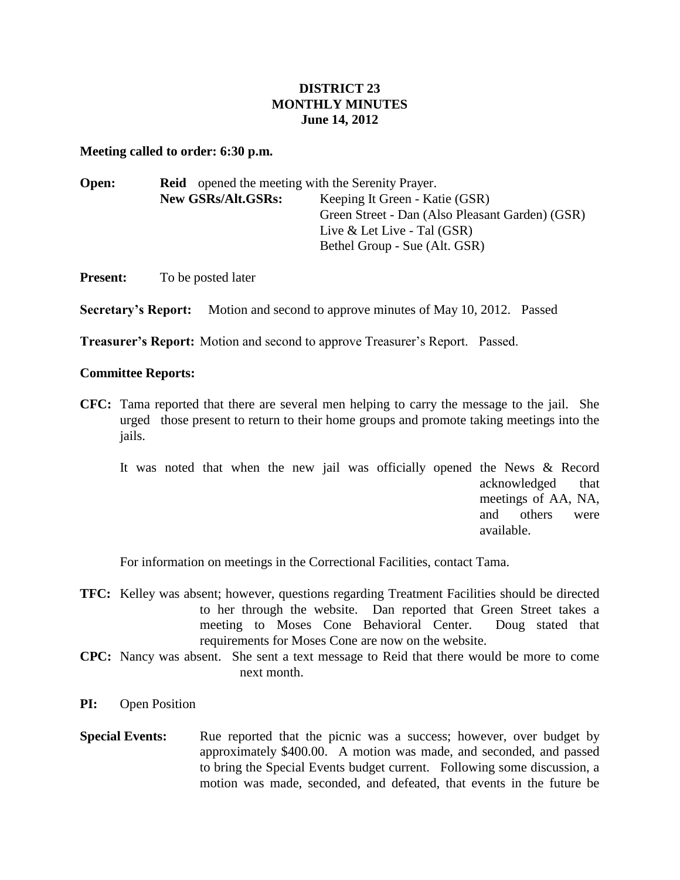## **DISTRICT 23 MONTHLY MINUTES June 14, 2012**

## **Meeting called to order: 6:30 p.m.**

| Keeping It Green - Katie (GSR)                  |  |  |  |  |
|-------------------------------------------------|--|--|--|--|
| Green Street - Dan (Also Pleasant Garden) (GSR) |  |  |  |  |
|                                                 |  |  |  |  |
|                                                 |  |  |  |  |
|                                                 |  |  |  |  |

**Present:** To be posted later

**Secretary's Report:** Motion and second to approve minutes of May 10, 2012. Passed

**Treasurer's Report:** Motion and second to approve Treasurer's Report. Passed.

## **Committee Reports:**

**CFC:** Tama reported that there are several men helping to carry the message to the jail. She urged those present to return to their home groups and promote taking meetings into the jails.

|  |  |  |  | It was noted that when the new jail was officially opened the News & Record |                     |            |  |                   |
|--|--|--|--|-----------------------------------------------------------------------------|---------------------|------------|--|-------------------|
|  |  |  |  |                                                                             |                     |            |  | acknowledged that |
|  |  |  |  |                                                                             | meetings of AA, NA, |            |  |                   |
|  |  |  |  |                                                                             |                     | and others |  | were              |
|  |  |  |  |                                                                             | available.          |            |  |                   |

For information on meetings in the Correctional Facilities, contact Tama.

- **TFC:** Kelley was absent; however, questions regarding Treatment Facilities should be directed to her through the website. Dan reported that Green Street takes a meeting to Moses Cone Behavioral Center. Doug stated that requirements for Moses Cone are now on the website.
- **CPC:** Nancy was absent. She sent a text message to Reid that there would be more to come next month.
- **PI:** Open Position
- **Special Events:** Rue reported that the picnic was a success; however, over budget by approximately \$400.00. A motion was made, and seconded, and passed to bring the Special Events budget current. Following some discussion, a motion was made, seconded, and defeated, that events in the future be